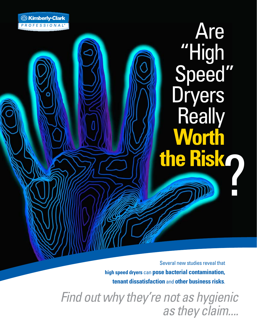? **the Risk** Are "High **Dryers Really Worth** Speed"

Several new studies reveal that **high speed dryers** can **pose bacterial contamination, tenant dissatisfaction** and **other business risks**.

*Find out why they're not as hygienic as they claim....*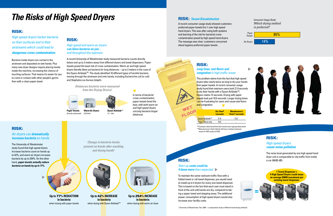# *The Risks of High Speed Dryers*

|                  | Dry Time <sup>•</sup><br>(seconds) | <b>Manufacturer's</b><br>Claim <sup>*</sup> (seconds) |
|------------------|------------------------------------|-------------------------------------------------------|
| Dyson Airblade™  | 21.9                               | 12.0                                                  |
| Paper Towel only | 10.5                               |                                                       |

 $\bullet$  Customer determined that their hands were appropriately dried  $*$  Manufacturer's Claim (Hands still have residual moisture), based on NSF protocal P335.

<sup>1</sup> University of Westminster, Feb. 2009 – a comparative study of different hand drying methods

#### RISK: *Long lines, wet floors and congestion in high traffic areas*

This problem stems from the fact that high speed dryers take nearly twice as long to dry your hands than paper towels. A recent consumer usage study found that restroom users took 21.9 seconds to dry their hands with a Dyson Airblade<sup>TM</sup>, Dyson claims 12 seconds. Drying with paper towels took just 10.5 seconds. Longer drying times can be frustrating for users and cause wet floors and congestion.

#### RISK: *Tenant Dissatisfaction*

A recent consumer usage study showed customers preferred paper towels 6 to 1 over high speed hand dryers. This was after using both systems and learning of the risk for bacterial crosscontamination posed by high speed hand dryers. EXTERT MANUSIUS CONCERNIBRIGHT DISPOSED BY HIGH SPEED TRING OF AIR OF THE MESSAGE WAS CLEAR TO A AIR DRYERS TO THE MESSAGE WAS CLEAR TO A AIR DRYERS TO THE MESSAGE WAS CLEAR TO A AIR DRYERS TO THE MESSAGE WAS CLEAR TO A AI about hygiene preferred paper towels.

*Consumer Usage Study: Which drying method is preferred?*









*High speed and warm air dryers can blow bacteria on you – and throughout the restroom.*

> **Up to** 254**% INCREASE in bacteria** when drying with warm air dryer

A recent University of Westminster study measured bacteria counts directly below and up to 2 meters away from different dryers and towel dispensers. Paper towels posed the least risk of cross contamination. Warm air and high speed dryers literally blew out bacteria for long distances – up to 2 meters in the case of the Dyson Airblade<sup>™</sup>. The study identified 10 different types of harmful bacteria moving through the airstream and onto hands, including Escherichia coli (e-coli) and Staphyloccus Aureus (staph).

#### RISK:

#### *Air dryers can dramatically increase bacteria on hands*

**in bacteria** when drying with Dyson Airblade™

The University of Westminster study found that high speed dryers increase bacteria count on hands up to 42%, and warm air dryers increase bacteria by up to 254%. On the other hand, *paper towels actually reduce bacteria on hands by up to 77%*.

### RISK:

*High speed dryers harbor bacteria on their surfaces and in their airstreams which could lead to dangerous cross contamination.* 

> *In terms of bacterial cross-contamination, paper towels fared the best, with both warm air and high speed dryers carrying bacteria longer distances.*

RISK: *High speed dryers cause noise pollution.*

The noise level generated by one high speed hand dryer unit is comparable to city traffic from inside a car (84/85 dB).



**1 Towel Dispenser = 4 High Speed Dryers could mean an average \$9600 investment per existing towel dispenser.**

*Change in bacteria levels present on hands after washing and drying hands1*

**Up to** 77**% REDUCTION in bacteria** when drying with paper towels



## RISK:

WET

*Start-up costs could be 4 times more than expected.*

To maintain the same restroom traffic flow with a folded towel or roll towel dispenser, you would need to install up to 4 dryers for every one towel dispenser. This is based on the fact that each user must stand in front of the unit until hands are dry, compared to taking a paper towel and stepping away. The additional power consumption of high speed dryers would also increase your facility costs.

Bacteria inside dryers are carried in the airstream and deposited on wet hands. Plus many new dryer designs require placing hands inside the machine, increasing the chance of touching surfaces. That means it's easier for you to come in contact with other people's germs than with a clean paper towel.



*Distances bacteria were measured from the Drying Device1*